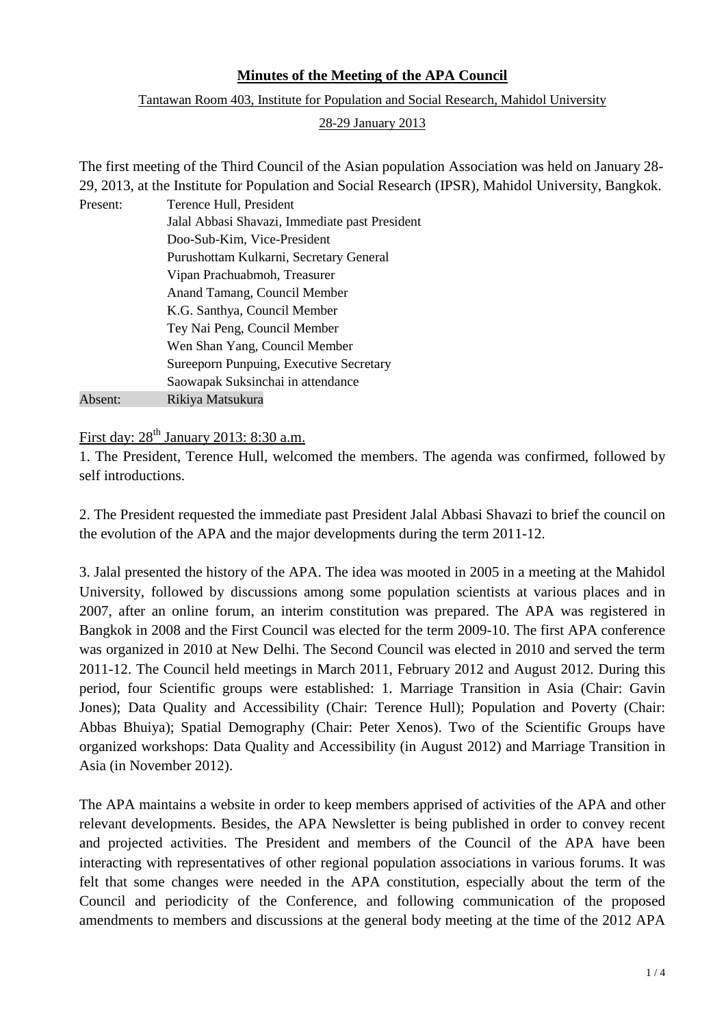## **Minutes of the Meeting of the APA Council**

Tantawan Room 403, Institute for Population and Social Research, Mahidol University

## 28-29 January 2013

The first meeting of the Third Council of the Asian population Association was held on January 28- 29, 2013, at the Institute for Population and Social Research (IPSR), Mahidol University, Bangkok. Present: Terence Hull, President Jalal Abbasi Shavazi, Immediate past President

|         | Jalal Abbasi Shavazi, Immediate past President |
|---------|------------------------------------------------|
|         | Doo-Sub-Kim, Vice-President                    |
|         | Purushottam Kulkarni, Secretary General        |
|         | Vipan Prachuabmoh, Treasurer                   |
|         | Anand Tamang, Council Member                   |
|         | K.G. Santhya, Council Member                   |
|         | Tey Nai Peng, Council Member                   |
|         | Wen Shan Yang, Council Member                  |
|         | Sureeporn Punpuing, Executive Secretary        |
|         | Saowapak Suksinchai in attendance              |
| Absent: | Rikiya Matsukura                               |

First day: 28<sup>th</sup> January 2013: 8:30 a.m.

1. The President, Terence Hull, welcomed the members. The agenda was confirmed, followed by self introductions.

2. The President requested the immediate past President Jalal Abbasi Shavazi to brief the council on the evolution of the APA and the major developments during the term 2011-12.

3. Jalal presented the history of the APA. The idea was mooted in 2005 in a meeting at the Mahidol University, followed by discussions among some population scientists at various places and in 2007, after an online forum, an interim constitution was prepared. The APA was registered in Bangkok in 2008 and the First Council was elected for the term 2009-10. The first APA conference was organized in 2010 at New Delhi. The Second Council was elected in 2010 and served the term 2011-12. The Council held meetings in March 2011, February 2012 and August 2012. During this period, four Scientific groups were established: 1. Marriage Transition in Asia (Chair: Gavin Jones); Data Quality and Accessibility (Chair: Terence Hull); Population and Poverty (Chair: Abbas Bhuiya); Spatial Demography (Chair: Peter Xenos). Two of the Scientific Groups have organized workshops: Data Quality and Accessibility (in August 2012) and Marriage Transition in Asia (in November 2012).

The APA maintains a website in order to keep members apprised of activities of the APA and other relevant developments. Besides, the APA Newsletter is being published in order to convey recent and projected activities. The President and members of the Council of the APA have been interacting with representatives of other regional population associations in various forums. It was felt that some changes were needed in the APA constitution, especially about the term of the Council and periodicity of the Conference, and following communication of the proposed amendments to members and discussions at the general body meeting at the time of the 2012 APA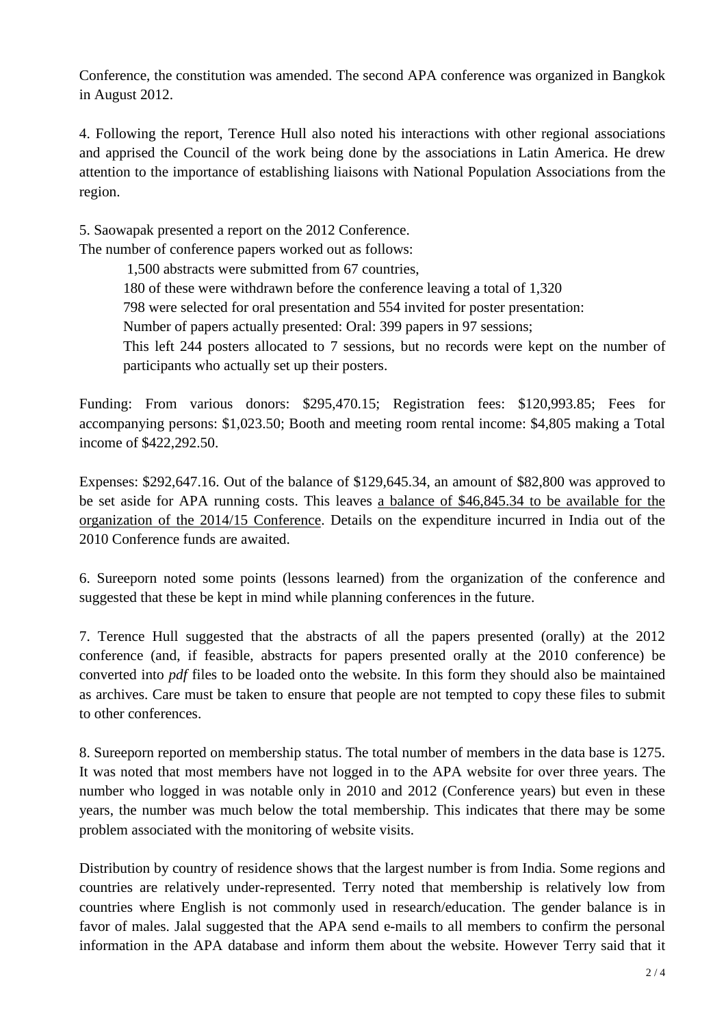Conference, the constitution was amended. The second APA conference was organized in Bangkok in August 2012.

4. Following the report, Terence Hull also noted his interactions with other regional associations and apprised the Council of the work being done by the associations in Latin America. He drew attention to the importance of establishing liaisons with National Population Associations from the region.

5. Saowapak presented a report on the 2012 Conference.

The number of conference papers worked out as follows:

1,500 abstracts were submitted from 67 countries,

180 of these were withdrawn before the conference leaving a total of 1,320

798 were selected for oral presentation and 554 invited for poster presentation:

Number of papers actually presented: Oral: 399 papers in 97 sessions;

This left 244 posters allocated to 7 sessions, but no records were kept on the number of participants who actually set up their posters.

Funding: From various donors: \$295,470.15; Registration fees: \$120,993.85; Fees for accompanying persons: \$1,023.50; Booth and meeting room rental income: \$4,805 making a Total income of \$422,292.50.

Expenses: \$292,647.16. Out of the balance of \$129,645.34, an amount of \$82,800 was approved to be set aside for APA running costs. This leaves a balance of \$46,845.34 to be available for the organization of the 2014/15 Conference. Details on the expenditure incurred in India out of the 2010 Conference funds are awaited.

6. Sureeporn noted some points (lessons learned) from the organization of the conference and suggested that these be kept in mind while planning conferences in the future.

7. Terence Hull suggested that the abstracts of all the papers presented (orally) at the 2012 conference (and, if feasible, abstracts for papers presented orally at the 2010 conference) be converted into *pdf* files to be loaded onto the website. In this form they should also be maintained as archives. Care must be taken to ensure that people are not tempted to copy these files to submit to other conferences.

8. Sureeporn reported on membership status. The total number of members in the data base is 1275. It was noted that most members have not logged in to the APA website for over three years. The number who logged in was notable only in 2010 and 2012 (Conference years) but even in these years, the number was much below the total membership. This indicates that there may be some problem associated with the monitoring of website visits.

Distribution by country of residence shows that the largest number is from India. Some regions and countries are relatively under-represented. Terry noted that membership is relatively low from countries where English is not commonly used in research/education. The gender balance is in favor of males. Jalal suggested that the APA send e-mails to all members to confirm the personal information in the APA database and inform them about the website. However Terry said that it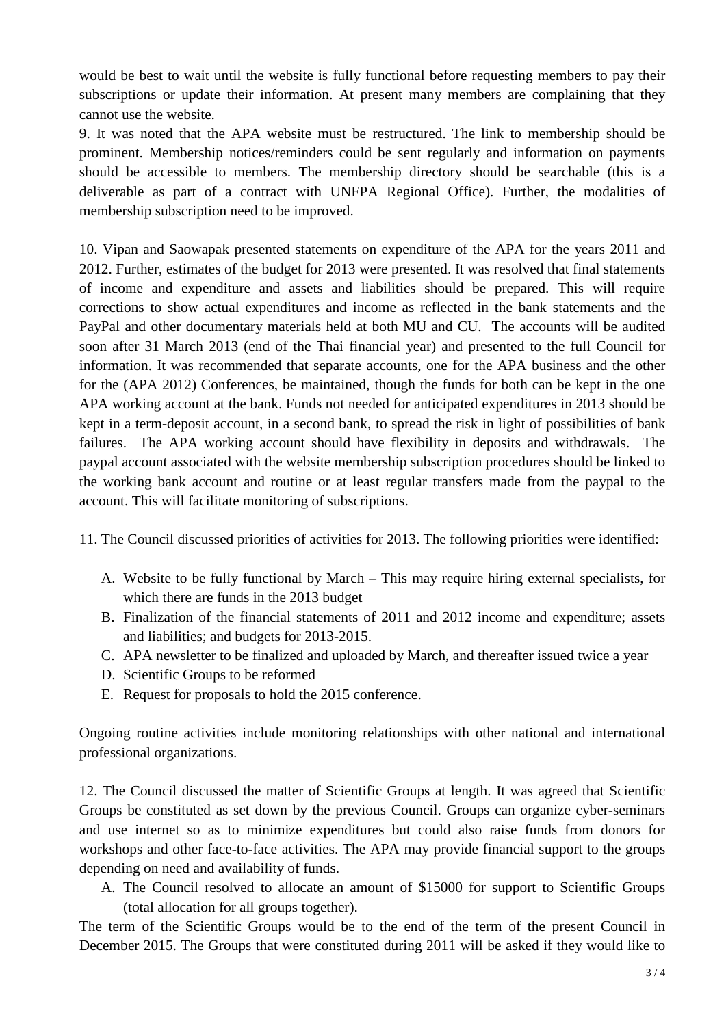would be best to wait until the website is fully functional before requesting members to pay their subscriptions or update their information. At present many members are complaining that they cannot use the website.

9. It was noted that the APA website must be restructured. The link to membership should be prominent. Membership notices/reminders could be sent regularly and information on payments should be accessible to members. The membership directory should be searchable (this is a deliverable as part of a contract with UNFPA Regional Office). Further, the modalities of membership subscription need to be improved.

10. Vipan and Saowapak presented statements on expenditure of the APA for the years 2011 and 2012. Further, estimates of the budget for 2013 were presented. It was resolved that final statements of income and expenditure and assets and liabilities should be prepared. This will require corrections to show actual expenditures and income as reflected in the bank statements and the PayPal and other documentary materials held at both MU and CU. The accounts will be audited soon after 31 March 2013 (end of the Thai financial year) and presented to the full Council for information. It was recommended that separate accounts, one for the APA business and the other for the (APA 2012) Conferences, be maintained, though the funds for both can be kept in the one APA working account at the bank. Funds not needed for anticipated expenditures in 2013 should be kept in a term-deposit account, in a second bank, to spread the risk in light of possibilities of bank failures. The APA working account should have flexibility in deposits and withdrawals. The paypal account associated with the website membership subscription procedures should be linked to the working bank account and routine or at least regular transfers made from the paypal to the account. This will facilitate monitoring of subscriptions.

11. The Council discussed priorities of activities for 2013. The following priorities were identified:

- A. Website to be fully functional by March This may require hiring external specialists, for which there are funds in the 2013 budget
- B. Finalization of the financial statements of 2011 and 2012 income and expenditure; assets and liabilities; and budgets for 2013-2015.
- C. APA newsletter to be finalized and uploaded by March, and thereafter issued twice a year
- D. Scientific Groups to be reformed
- E. Request for proposals to hold the 2015 conference.

Ongoing routine activities include monitoring relationships with other national and international professional organizations.

12. The Council discussed the matter of Scientific Groups at length. It was agreed that Scientific Groups be constituted as set down by the previous Council. Groups can organize cyber-seminars and use internet so as to minimize expenditures but could also raise funds from donors for workshops and other face-to-face activities. The APA may provide financial support to the groups depending on need and availability of funds.

A. The Council resolved to allocate an amount of \$15000 for support to Scientific Groups (total allocation for all groups together).

The term of the Scientific Groups would be to the end of the term of the present Council in December 2015. The Groups that were constituted during 2011 will be asked if they would like to